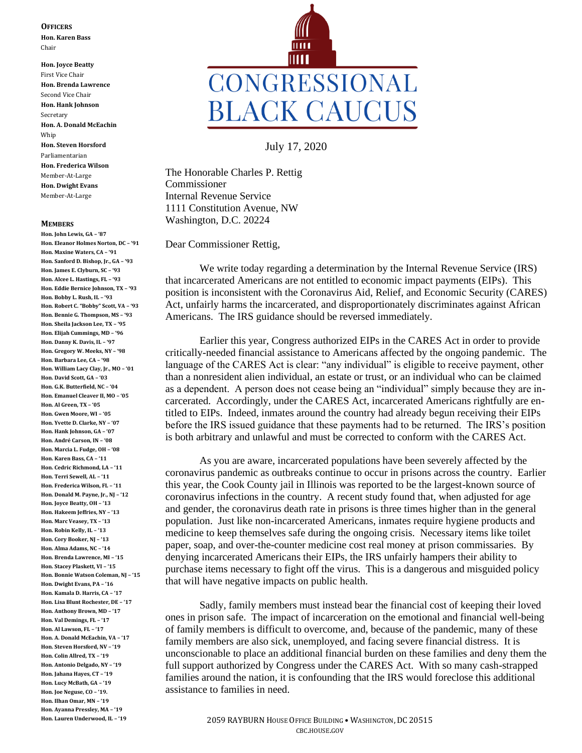## **OFFICERS**

**Hon. Karen Bass** Chair

**Hon. Joyce Beatty** First Vice Chair **Hon. Brenda Lawrence** Second Vice Chair **Hon. Hank Johnson** Secretary **Hon. A. Donald McEachin** Whip **Hon. Steven Horsford** Parliamentarian **Hon. Frederica Wilson** Member-At-Large **Hon. Dwight Evans** Member-At-Large

## **MEMBERS**

**Hon. John Lewis, GA – '87 Hon. Eleanor Holmes Norton, DC – '91 Hon. Maxine Waters, CA – '91 Hon. Sanford D. Bishop, Jr., GA – '93 Hon. James E. Clyburn, SC – '93 Hon. Alcee L. Hastings, FL – '93 Hon. Eddie Bernice Johnson, TX – '93 Hon. Bobby L. Rush, IL – '93 Hon. Robert C. "Bobby" Scott, VA – '93 Hon. Bennie G. Thompson, MS – '93 Hon. Sheila Jackson Lee, TX – '95 Hon. Elijah Cummings, MD – '96 Hon. Danny K. Davis, IL – '97 Hon. Gregory W. Meeks, NY – '98 Hon. Barbara Lee, CA – '98 Hon. William Lacy Clay, Jr., MO – '01 Hon. David Scott, GA – '03 Hon. G.K. Butterfield, NC – '04 Hon. Emanuel Cleaver II, MO – '05 Hon. Al Green, TX – '05 Hon. Gwen Moore, WI – '05 Hon. Yvette D. Clarke, NY – '07 Hon. Hank Johnson, GA – '07 Hon. André Carson, IN – '08 Hon. Marcia L. Fudge, OH – '08 Hon. Karen Bass, CA – '11 Hon. Cedric Richmond, LA – '11 Hon. Terri Sewell, AL – '11 Hon. Frederica Wilson, FL – '11 Hon. Donald M. Payne, Jr., NJ – '12 Hon. Joyce Beatty, OH – '13 Hon. Hakeem Jeffries, NY – '13 Hon. Marc Veasey, TX – '13 Hon. Robin Kelly, IL – '13 Hon. Cory Booker, NJ – '13 Hon. Alma Adams, NC – '14 Hon. Brenda Lawrence, MI – '15 Hon. Stacey Plaskett, VI – '15 Hon. Bonnie Watson Coleman, NJ – '15 Hon. Dwight Evans, PA – '16 Hon. Kamala D. Harris, CA – '17 Hon. Lisa Blunt Rochester, DE – '17 Hon. Anthony Brown, MD – '17 Hon. Val Demings, FL – '17 Hon. Al Lawson, FL – '17 Hon. A. Donald McEachin, VA – '17 Hon. Steven Horsford, NV – '19 Hon. Colin Allred, TX – '19 Hon. Antonio Delgado, NY – '19 Hon. Jahana Hayes, CT – '19 Hon. Lucy McBath, GA – '19 Hon. Joe Neguse, CO – '19. Hon. Ilhan Omar, MN – '19 Hon. Ayanna Pressley, MA – '19 Hon. Lauren Underwood, IL – '19**



July 17, 2020

The Honorable Charles P. Rettig Commissioner Internal Revenue Service 1111 Constitution Avenue, NW Washington, D.C. 20224

Dear Commissioner Rettig,

We write today regarding a determination by the Internal Revenue Service (IRS) that incarcerated Americans are not entitled to economic impact payments (EIPs). This position is inconsistent with the Coronavirus Aid, Relief, and Economic Security (CARES) Act, unfairly harms the incarcerated, and disproportionately discriminates against African Americans. The IRS guidance should be reversed immediately.

Earlier this year, Congress authorized EIPs in the CARES Act in order to provide critically-needed financial assistance to Americans affected by the ongoing pandemic. The language of the CARES Act is clear: "any individual" is eligible to receive payment, other than a nonresident alien individual, an estate or trust, or an individual who can be claimed as a dependent. A person does not cease being an "individual" simply because they are incarcerated. Accordingly, under the CARES Act, incarcerated Americans rightfully are entitled to EIPs. Indeed, inmates around the country had already begun receiving their EIPs before the IRS issued guidance that these payments had to be returned. The IRS's position is both arbitrary and unlawful and must be corrected to conform with the CARES Act.

As you are aware, incarcerated populations have been severely affected by the coronavirus pandemic as outbreaks continue to occur in prisons across the country. Earlier this year, the Cook County jail in Illinois was reported to be the largest-known source of coronavirus infections in the country. A recent study found that, when adjusted for age and gender, the coronavirus death rate in prisons is three times higher than in the general population. Just like non-incarcerated Americans, inmates require hygiene products and medicine to keep themselves safe during the ongoing crisis. Necessary items like toilet paper, soap, and over-the-counter medicine cost real money at prison commissaries. By denying incarcerated Americans their EIPs, the IRS unfairly hampers their ability to purchase items necessary to fight off the virus. This is a dangerous and misguided policy that will have negative impacts on public health.

Sadly, family members must instead bear the financial cost of keeping their loved ones in prison safe. The impact of incarceration on the emotional and financial well-being of family members is difficult to overcome, and, because of the pandemic, many of these family members are also sick, unemployed, and facing severe financial distress. It is unconscionable to place an additional financial burden on these families and deny them the full support authorized by Congress under the CARES Act. With so many cash-strapped families around the nation, it is confounding that the IRS would foreclose this additional assistance to families in need.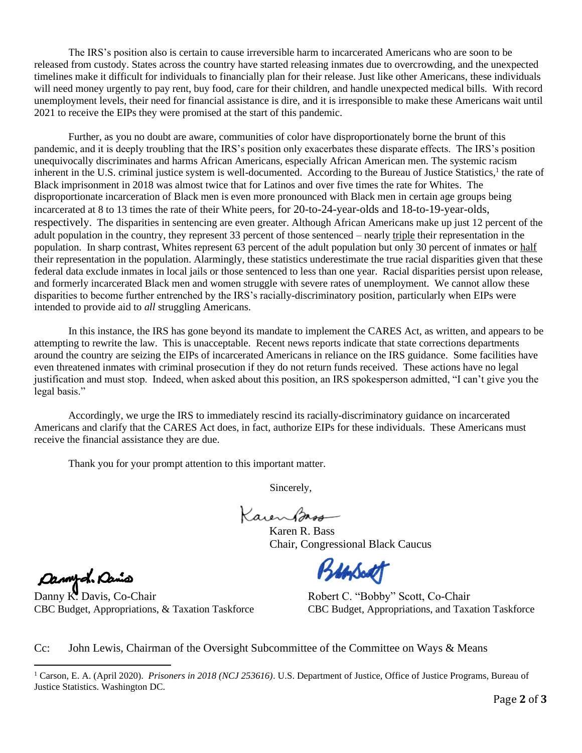The IRS's position also is certain to cause irreversible harm to incarcerated Americans who are soon to be released from custody. States across the country have started releasing inmates due to overcrowding, and the unexpected timelines make it difficult for individuals to financially plan for their release. Just like other Americans, these individuals will need money urgently to pay rent, buy food, care for their children, and handle unexpected medical bills. With record unemployment levels, their need for financial assistance is dire, and it is irresponsible to make these Americans wait until 2021 to receive the EIPs they were promised at the start of this pandemic.

Further, as you no doubt are aware, communities of color have disproportionately borne the brunt of this pandemic, and it is deeply troubling that the IRS's position only exacerbates these disparate effects. The IRS's position unequivocally discriminates and harms African Americans, especially African American men. The systemic racism inherent in the U.S. criminal justice system is well-documented. According to the Bureau of Justice Statistics,<sup>1</sup> the rate of Black imprisonment in 2018 was almost twice that for Latinos and over five times the rate for Whites. The disproportionate incarceration of Black men is even more pronounced with Black men in certain age groups being incarcerated at 8 to 13 times the rate of their White peers, for 20-to-24-year-olds and 18-to-19-year-olds, respectively. The disparities in sentencing are even greater. Although African Americans make up just 12 percent of the adult population in the country, they represent 33 percent of those sentenced – nearly triple their representation in the population. In sharp contrast, Whites represent 63 percent of the adult population but only 30 percent of inmates or half their representation in the population. Alarmingly, these statistics underestimate the true racial disparities given that these federal data exclude inmates in local jails or those sentenced to less than one year. Racial disparities persist upon release, and formerly incarcerated Black men and women struggle with severe rates of unemployment. We cannot allow these disparities to become further entrenched by the IRS's racially-discriminatory position, particularly when EIPs were intended to provide aid to *all* struggling Americans.

In this instance, the IRS has gone beyond its mandate to implement the CARES Act, as written, and appears to be attempting to rewrite the law. This is unacceptable. Recent news reports indicate that state corrections departments around the country are seizing the EIPs of incarcerated Americans in reliance on the IRS guidance. Some facilities have even threatened inmates with criminal prosecution if they do not return funds received. These actions have no legal justification and must stop. Indeed, when asked about this position, an IRS spokesperson admitted, "I can't give you the legal basis."

Accordingly, we urge the IRS to immediately rescind its racially-discriminatory guidance on incarcerated Americans and clarify that the CARES Act does, in fact, authorize EIPs for these individuals. These Americans must receive the financial assistance they are due.

Thank you for your prompt attention to this important matter.

Sincerely,

 Karen R. Bass Chair, Congressional Black Caucus

Bansact

Dannyd. Danis

Danny K. Davis, Co-Chair Robert C. "Bobby" Scott, Co-Chair

CBC Budget, Appropriations, & Taxation Taskforce CBC Budget, Appropriations, and Taxation Taskforce

Cc: John Lewis, Chairman of the Oversight Subcommittee of the Committee on Ways & Means

<sup>1</sup> Carson, E. A. (April 2020). *Prisoners in 2018 (NCJ 253616)*. U.S. Department of Justice, Office of Justice Programs, Bureau of Justice Statistics. Washington DC.